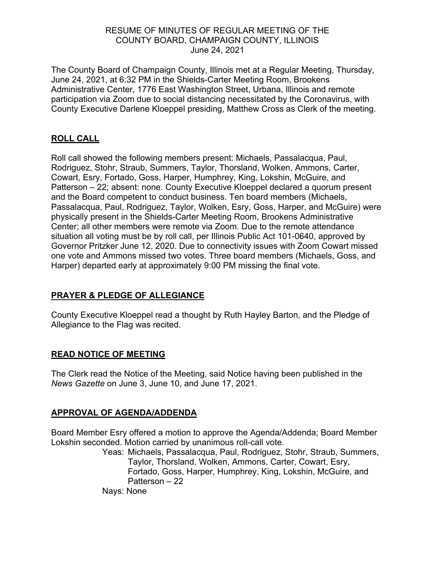### RESUME OF MINUTES OF REGULAR MEETING OF THE COUNTY BOARD, CHAMPAIGN COUNTY, ILLINOIS June 24, 2021

The County Board of Champaign County, Illinois met at a Regular Meeting, Thursday, June 24, 2021, at 6:32 PM in the Shields-Carter Meeting Room, Brookens Administrative Center, 1776 East Washington Street, Urbana, Illinois and remote participation via Zoom due to social distancing necessitated by the Coronavirus, with County Executive Darlene Kloeppel presiding, Matthew Cross as Clerk of the meeting.

## **ROLL CALL**

Roll call showed the following members present: Michaels, Passalacqua, Paul, Rodriguez, Stohr, Straub, Summers, Taylor, Thorsland, Wolken, Ammons, Carter, Cowart, Esry, Fortado, Goss, Harper, Humphrey, King, Lokshin, McGuire, and Patterson – 22; absent: none. County Executive Kloeppel declared a quorum present and the Board competent to conduct business. Ten board members (Michaels, Passalacqua, Paul, Rodriguez, Taylor, Wolken, Esry, Goss, Harper, and McGuire) were physically present in the Shields-Carter Meeting Room, Brookens Administrative Center; all other members were remote via Zoom. Due to the remote attendance situation all voting must be by roll call, per Illinois Public Act 101-0640, approved by Governor Pritzker June 12, 2020. Due to connectivity issues with Zoom Cowart missed one vote and Ammons missed two votes. Three board members (Michaels, Goss, and Harper) departed early at approximately 9:00 PM missing the final vote.

# **PRAYER & PLEDGE OF ALLEGIANCE**

County Executive Kloeppel read a thought by Ruth Hayley Barton, and the Pledge of Allegiance to the Flag was recited.

## **READ NOTICE OF MEETING**

The Clerk read the Notice of the Meeting, said Notice having been published in the *News Gazette* on June 3, June 10, and June 17, 2021.

## **APPROVAL OF AGENDA/ADDENDA**

Board Member Esry offered a motion to approve the Agenda/Addenda; Board Member Lokshin seconded. Motion carried by unanimous roll-call vote.

Yeas: Michaels, Passalacqua, Paul, Rodriguez, Stohr, Straub, Summers, Taylor, Thorsland, Wolken, Ammons, Carter, Cowart, Esry, Fortado, Goss, Harper, Humphrey, King, Lokshin, McGuire, and Patterson – 22

Nays: None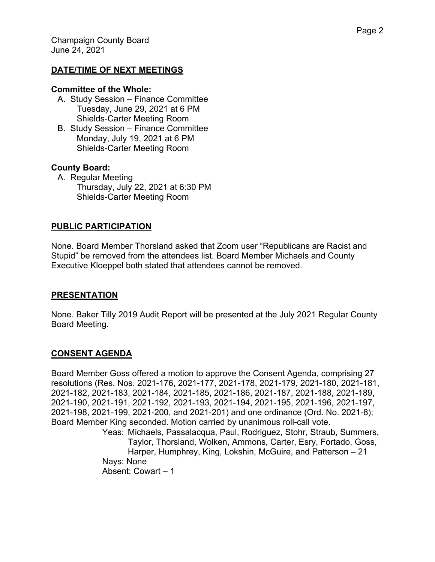#### **DATE/TIME OF NEXT MEETINGS**

#### **Committee of the Whole:**

- A. Study Session Finance Committee Tuesday, June 29, 2021 at 6 PM Shields-Carter Meeting Room
- B. Study Session Finance Committee Monday, July 19, 2021 at 6 PM Shields-Carter Meeting Room

#### **County Board:**

A. Regular Meeting Thursday, July 22, 2021 at 6:30 PM Shields-Carter Meeting Room

#### **PUBLIC PARTICIPATION**

None. Board Member Thorsland asked that Zoom user "Republicans are Racist and Stupid" be removed from the attendees list. Board Member Michaels and County Executive Kloeppel both stated that attendees cannot be removed.

#### **PRESENTATION**

None. Baker Tilly 2019 Audit Report will be presented at the July 2021 Regular County Board Meeting.

### **CONSENT AGENDA**

Board Member Goss offered a motion to approve the Consent Agenda, comprising 27 resolutions (Res. Nos. 2021-176, 2021-177, 2021-178, 2021-179, 2021-180, 2021-181, 2021-182, 2021-183, 2021-184, 2021-185, 2021-186, 2021-187, 2021-188, 2021-189, 2021-190, 2021-191, 2021-192, 2021-193, 2021-194, 2021-195, 2021-196, 2021-197, 2021-198, 2021-199, 2021-200, and 2021-201) and one ordinance (Ord. No. 2021-8); Board Member King seconded. Motion carried by unanimous roll-call vote.

Yeas: Michaels, Passalacqua, Paul, Rodriguez, Stohr, Straub, Summers, Taylor, Thorsland, Wolken, Ammons, Carter, Esry, Fortado, Goss, Harper, Humphrey, King, Lokshin, McGuire, and Patterson – 21 Nays: None Absent: Cowart – 1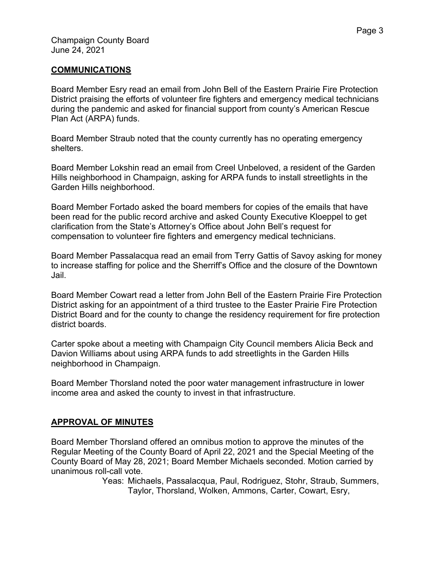### **COMMUNICATIONS**

Board Member Esry read an email from John Bell of the Eastern Prairie Fire Protection District praising the efforts of volunteer fire fighters and emergency medical technicians during the pandemic and asked for financial support from county's American Rescue Plan Act (ARPA) funds.

Board Member Straub noted that the county currently has no operating emergency shelters.

Board Member Lokshin read an email from Creel Unbeloved, a resident of the Garden Hills neighborhood in Champaign, asking for ARPA funds to install streetlights in the Garden Hills neighborhood.

Board Member Fortado asked the board members for copies of the emails that have been read for the public record archive and asked County Executive Kloeppel to get clarification from the State's Attorney's Office about John Bell's request for compensation to volunteer fire fighters and emergency medical technicians.

Board Member Passalacqua read an email from Terry Gattis of Savoy asking for money to increase staffing for police and the Sherriff's Office and the closure of the Downtown Jail.

Board Member Cowart read a letter from John Bell of the Eastern Prairie Fire Protection District asking for an appointment of a third trustee to the Easter Prairie Fire Protection District Board and for the county to change the residency requirement for fire protection district boards.

Carter spoke about a meeting with Champaign City Council members Alicia Beck and Davion Williams about using ARPA funds to add streetlights in the Garden Hills neighborhood in Champaign.

Board Member Thorsland noted the poor water management infrastructure in lower income area and asked the county to invest in that infrastructure.

### **APPROVAL OF MINUTES**

Board Member Thorsland offered an omnibus motion to approve the minutes of the Regular Meeting of the County Board of April 22, 2021 and the Special Meeting of the County Board of May 28, 2021; Board Member Michaels seconded. Motion carried by unanimous roll-call vote.

Yeas: Michaels, Passalacqua, Paul, Rodriguez, Stohr, Straub, Summers, Taylor, Thorsland, Wolken, Ammons, Carter, Cowart, Esry,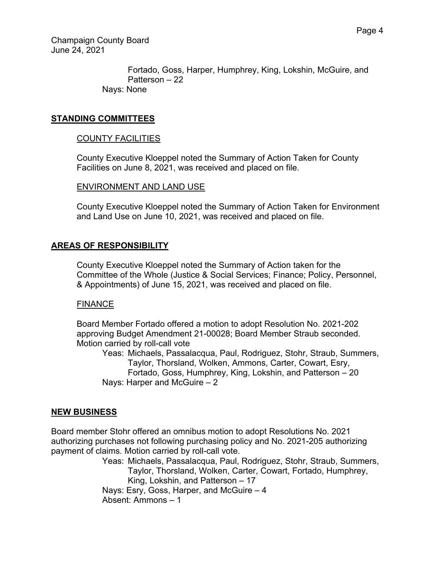Champaign County Board June 24, 2021

> Fortado, Goss, Harper, Humphrey, King, Lokshin, McGuire, and Patterson – 22 Nays: None

### **STANDING COMMITTEES**

### COUNTY FACILITIES

County Executive Kloeppel noted the Summary of Action Taken for County Facilities on June 8, 2021, was received and placed on file.

#### ENVIRONMENT AND LAND USE

County Executive Kloeppel noted the Summary of Action Taken for Environment and Land Use on June 10, 2021, was received and placed on file.

### **AREAS OF RESPONSIBILITY**

County Executive Kloeppel noted the Summary of Action taken for the Committee of the Whole (Justice & Social Services; Finance; Policy, Personnel, & Appointments) of June 15, 2021, was received and placed on file.

### **FINANCE**

Board Member Fortado offered a motion to adopt Resolution No. 2021-202 approving Budget Amendment 21-00028; Board Member Straub seconded. Motion carried by roll-call vote

Yeas: Michaels, Passalacqua, Paul, Rodriguez, Stohr, Straub, Summers, Taylor, Thorsland, Wolken, Ammons, Carter, Cowart, Esry, Fortado, Goss, Humphrey, King, Lokshin, and Patterson – 20 Nays: Harper and McGuire – 2

### **NEW BUSINESS**

Board member Stohr offered an omnibus motion to adopt Resolutions No. 2021 authorizing purchases not following purchasing policy and No. 2021-205 authorizing payment of claims. Motion carried by roll-call vote.

> Yeas: Michaels, Passalacqua, Paul, Rodriguez, Stohr, Straub, Summers, Taylor, Thorsland, Wolken, Carter, Cowart, Fortado, Humphrey, King, Lokshin, and Patterson – 17

 Nays: Esry, Goss, Harper, and McGuire – 4 Absent: Ammons – 1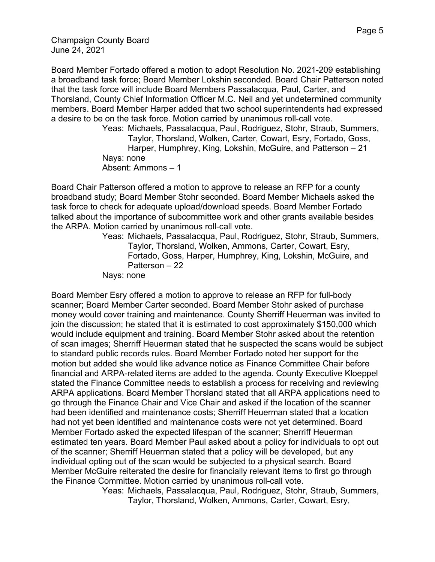Champaign County Board June 24, 2021

Board Member Fortado offered a motion to adopt Resolution No. 2021-209 establishing a broadband task force; Board Member Lokshin seconded. Board Chair Patterson noted that the task force will include Board Members Passalacqua, Paul, Carter, and Thorsland, County Chief Information Officer M.C. Neil and yet undetermined community members. Board Member Harper added that two school superintendents had expressed a desire to be on the task force. Motion carried by unanimous roll-call vote.

Yeas: Michaels, Passalacqua, Paul, Rodriguez, Stohr, Straub, Summers, Taylor, Thorsland, Wolken, Carter, Cowart, Esry, Fortado, Goss, Harper, Humphrey, King, Lokshin, McGuire, and Patterson – 21 Nays: none Absent: Ammons – 1

Board Chair Patterson offered a motion to approve to release an RFP for a county broadband study; Board Member Stohr seconded. Board Member Michaels asked the task force to check for adequate upload/download speeds. Board Member Fortado talked about the importance of subcommittee work and other grants available besides the ARPA. Motion carried by unanimous roll-call vote.

Yeas: Michaels, Passalacqua, Paul, Rodriguez, Stohr, Straub, Summers, Taylor, Thorsland, Wolken, Ammons, Carter, Cowart, Esry, Fortado, Goss, Harper, Humphrey, King, Lokshin, McGuire, and Patterson – 22

Nays: none

Board Member Esry offered a motion to approve to release an RFP for full-body scanner; Board Member Carter seconded. Board Member Stohr asked of purchase money would cover training and maintenance. County Sherriff Heuerman was invited to join the discussion; he stated that it is estimated to cost approximately \$150,000 which would include equipment and training. Board Member Stohr asked about the retention of scan images; Sherriff Heuerman stated that he suspected the scans would be subject to standard public records rules. Board Member Fortado noted her support for the motion but added she would like advance notice as Finance Committee Chair before financial and ARPA-related items are added to the agenda. County Executive Kloeppel stated the Finance Committee needs to establish a process for receiving and reviewing ARPA applications. Board Member Thorsland stated that all ARPA applications need to go through the Finance Chair and Vice Chair and asked if the location of the scanner had been identified and maintenance costs; Sherriff Heuerman stated that a location had not yet been identified and maintenance costs were not yet determined. Board Member Fortado asked the expected lifespan of the scanner; Sherriff Heuerman estimated ten years. Board Member Paul asked about a policy for individuals to opt out of the scanner; Sherriff Heuerman stated that a policy will be developed, but any individual opting out of the scan would be subjected to a physical search. Board Member McGuire reiterated the desire for financially relevant items to first go through the Finance Committee. Motion carried by unanimous roll-call vote.

> Yeas: Michaels, Passalacqua, Paul, Rodriguez, Stohr, Straub, Summers, Taylor, Thorsland, Wolken, Ammons, Carter, Cowart, Esry,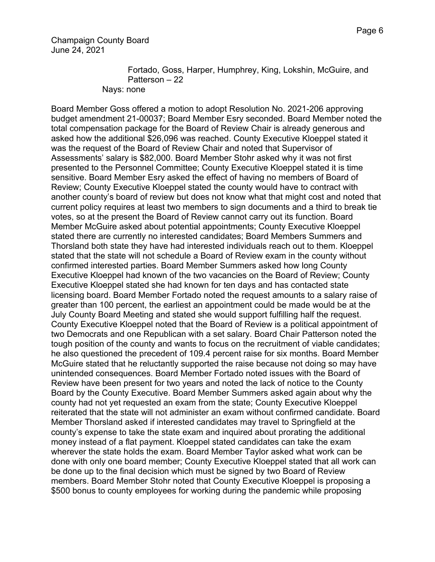Champaign County Board June 24, 2021

> Fortado, Goss, Harper, Humphrey, King, Lokshin, McGuire, and Patterson – 22 Nays: none

Board Member Goss offered a motion to adopt Resolution No. 2021-206 approving budget amendment 21-00037; Board Member Esry seconded. Board Member noted the total compensation package for the Board of Review Chair is already generous and asked how the additional \$26,096 was reached. County Executive Kloeppel stated it was the request of the Board of Review Chair and noted that Supervisor of Assessments' salary is \$82,000. Board Member Stohr asked why it was not first presented to the Personnel Committee; County Executive Kloeppel stated it is time sensitive. Board Member Esry asked the effect of having no members of Board of Review; County Executive Kloeppel stated the county would have to contract with another county's board of review but does not know what that might cost and noted that current policy requires at least two members to sign documents and a third to break tie votes, so at the present the Board of Review cannot carry out its function. Board Member McGuire asked about potential appointments; County Executive Kloeppel stated there are currently no interested candidates; Board Members Summers and Thorsland both state they have had interested individuals reach out to them. Kloeppel stated that the state will not schedule a Board of Review exam in the county without confirmed interested parties. Board Member Summers asked how long County Executive Kloeppel had known of the two vacancies on the Board of Review; County Executive Kloeppel stated she had known for ten days and has contacted state licensing board. Board Member Fortado noted the request amounts to a salary raise of greater than 100 percent, the earliest an appointment could be made would be at the July County Board Meeting and stated she would support fulfilling half the request. County Executive Kloeppel noted that the Board of Review is a political appointment of two Democrats and one Republican with a set salary. Board Chair Patterson noted the tough position of the county and wants to focus on the recruitment of viable candidates; he also questioned the precedent of 109.4 percent raise for six months. Board Member McGuire stated that he reluctantly supported the raise because not doing so may have unintended consequences. Board Member Fortado noted issues with the Board of Review have been present for two years and noted the lack of notice to the County Board by the County Executive. Board Member Summers asked again about why the county had not yet requested an exam from the state; County Executive Kloeppel reiterated that the state will not administer an exam without confirmed candidate. Board Member Thorsland asked if interested candidates may travel to Springfield at the county's expense to take the state exam and inquired about prorating the additional money instead of a flat payment. Kloeppel stated candidates can take the exam wherever the state holds the exam. Board Member Taylor asked what work can be done with only one board member; County Executive Kloeppel stated that all work can be done up to the final decision which must be signed by two Board of Review members. Board Member Stohr noted that County Executive Kloeppel is proposing a \$500 bonus to county employees for working during the pandemic while proposing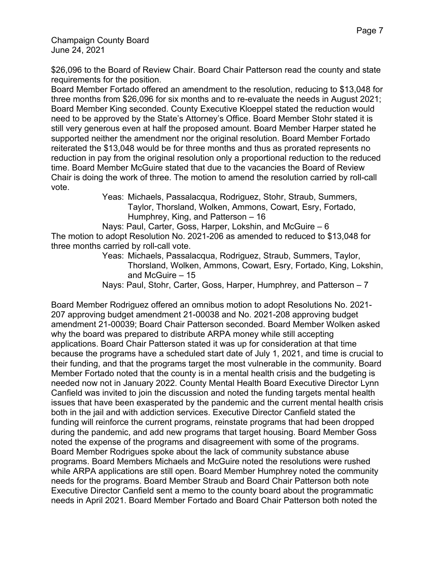\$26,096 to the Board of Review Chair. Board Chair Patterson read the county and state requirements for the position.

Board Member Fortado offered an amendment to the resolution, reducing to \$13,048 for three months from \$26,096 for six months and to re-evaluate the needs in August 2021; Board Member King seconded. County Executive Kloeppel stated the reduction would need to be approved by the State's Attorney's Office. Board Member Stohr stated it is still very generous even at half the proposed amount. Board Member Harper stated he supported neither the amendment nor the original resolution. Board Member Fortado reiterated the \$13,048 would be for three months and thus as prorated represents no reduction in pay from the original resolution only a proportional reduction to the reduced time. Board Member McGuire stated that due to the vacancies the Board of Review Chair is doing the work of three. The motion to amend the resolution carried by roll-call vote.

Yeas: Michaels, Passalacqua, Rodriguez, Stohr, Straub, Summers, Taylor, Thorsland, Wolken, Ammons, Cowart, Esry, Fortado, Humphrey, King, and Patterson – 16

 Nays: Paul, Carter, Goss, Harper, Lokshin, and McGuire – 6 The motion to adopt Resolution No. 2021-206 as amended to reduced to \$13,048 for three months carried by roll-call vote.

Yeas: Michaels, Passalacqua, Rodriguez, Straub, Summers, Taylor, Thorsland, Wolken, Ammons, Cowart, Esry, Fortado, King, Lokshin, and McGuire – 15

Nays: Paul, Stohr, Carter, Goss, Harper, Humphrey, and Patterson – 7

Board Member Rodriguez offered an omnibus motion to adopt Resolutions No. 2021- 207 approving budget amendment 21-00038 and No. 2021-208 approving budget amendment 21-00039; Board Chair Patterson seconded. Board Member Wolken asked why the board was prepared to distribute ARPA money while still accepting applications. Board Chair Patterson stated it was up for consideration at that time because the programs have a scheduled start date of July 1, 2021, and time is crucial to their funding, and that the programs target the most vulnerable in the community. Board Member Fortado noted that the county is in a mental health crisis and the budgeting is needed now not in January 2022. County Mental Health Board Executive Director Lynn Canfield was invited to join the discussion and noted the funding targets mental health issues that have been exasperated by the pandemic and the current mental health crisis both in the jail and with addiction services. Executive Director Canfield stated the funding will reinforce the current programs, reinstate programs that had been dropped during the pandemic, and add new programs that target housing. Board Member Goss noted the expense of the programs and disagreement with some of the programs. Board Member Rodrigues spoke about the lack of community substance abuse programs. Board Members Michaels and McGuire noted the resolutions were rushed while ARPA applications are still open. Board Member Humphrey noted the community needs for the programs. Board Member Straub and Board Chair Patterson both note Executive Director Canfield sent a memo to the county board about the programmatic needs in April 2021. Board Member Fortado and Board Chair Patterson both noted the